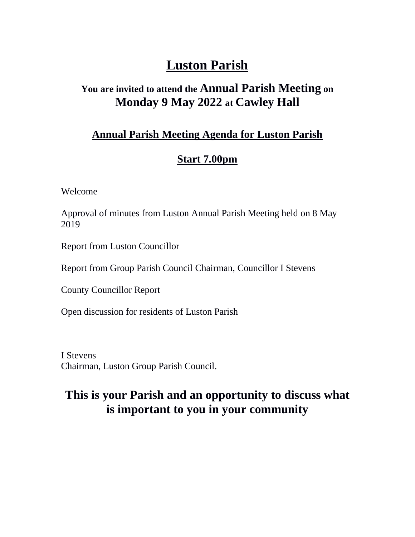# **Luston Parish**

## **You are invited to attend the Annual Parish Meeting on Monday 9 May 2022 at Cawley Hall**

#### **Annual Parish Meeting Agenda for Luston Parish**

#### **Start 7.00pm**

Welcome

Approval of minutes from Luston Annual Parish Meeting held on 8 May 2019

Report from Luston Councillor

Report from Group Parish Council Chairman, Councillor I Stevens

County Councillor Report

Open discussion for residents of Luston Parish

I Stevens Chairman, Luston Group Parish Council.

## **This is your Parish and an opportunity to discuss what is important to you in your community**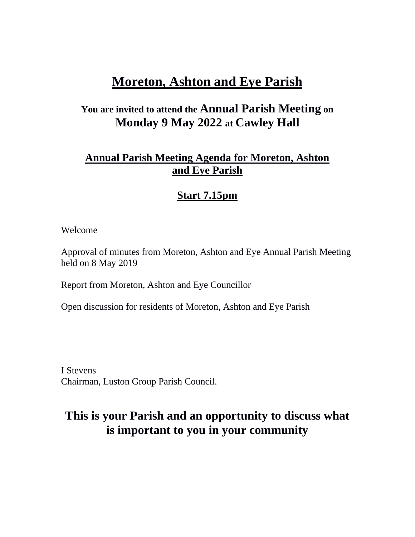## **Moreton, Ashton and Eye Parish**

### **You are invited to attend the Annual Parish Meeting on Monday 9 May 2022 at Cawley Hall**

#### **Annual Parish Meeting Agenda for Moreton, Ashton and Eye Parish**

#### **Start 7.15pm**

Welcome

Approval of minutes from Moreton, Ashton and Eye Annual Parish Meeting held on 8 May 2019

Report from Moreton, Ashton and Eye Councillor

Open discussion for residents of Moreton, Ashton and Eye Parish

I Stevens Chairman, Luston Group Parish Council.

## **This is your Parish and an opportunity to discuss what is important to you in your community**